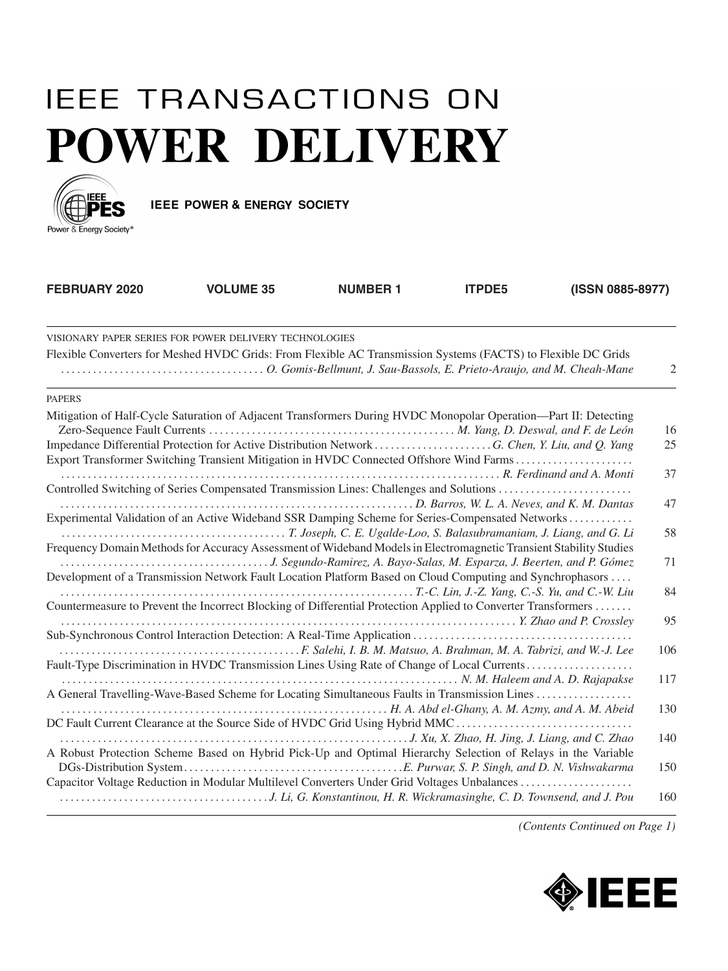## **IEEE TRANSACTIONS ON POWER DELIVERY**



IEEE POWER & ENERGY SOCIETY

| FEBRUARY 2020                                                                                                      | <b>VOLUME 35</b>                 | <b>NUMBER 1</b> | <b>ITPDE5</b> | (ISSN 0885-8977) |     |
|--------------------------------------------------------------------------------------------------------------------|----------------------------------|-----------------|---------------|------------------|-----|
| VISIONARY PAPER SERIES FOR POWER DELIVERY TECHNOLOGIES                                                             |                                  |                 |               |                  |     |
| Flexible Converters for Meshed HVDC Grids: From Flexible AC Transmission Systems (FACTS) to Flexible DC Grids      |                                  |                 |               |                  | 2   |
| <b>PAPERS</b>                                                                                                      |                                  |                 |               |                  |     |
| Mitigation of Half-Cycle Saturation of Adjacent Transformers During HVDC Monopolar Operation-Part II: Detecting    |                                  |                 |               |                  | 16  |
| Export Transformer Switching Transient Mitigation in HVDC Connected Offshore Wind Farms                            |                                  |                 |               |                  | 25  |
|                                                                                                                    | R. Ferdinand and A. Monti        |                 |               |                  | 37  |
| Experimental Validation of an Active Wideband SSR Damping Scheme for Series-Compensated Networks                   |                                  |                 |               |                  | 47  |
| Frequency Domain Methods for Accuracy Assessment of Wideband Models in Electromagnetic Transient Stability Studies |                                  |                 |               |                  | 58  |
| Development of a Transmission Network Fault Location Platform Based on Cloud Computing and Synchrophasors          |                                  |                 |               |                  | 71  |
| Countermeasure to Prevent the Incorrect Blocking of Differential Protection Applied to Converter Transformers      |                                  |                 |               |                  | 84  |
|                                                                                                                    |                                  |                 |               |                  | 95  |
| Fault-Type Discrimination in HVDC Transmission Lines Using Rate of Change of Local Currents                        |                                  |                 |               |                  | 106 |
| A General Travelling-Wave-Based Scheme for Locating Simultaneous Faults in Transmission Lines                      | N. M. Haleem and A. D. Rajapakse |                 |               |                  | 117 |
| DC Fault Current Clearance at the Source Side of HVDC Grid Using Hybrid MMC                                        |                                  |                 |               |                  | 130 |
| A Robust Protection Scheme Based on Hybrid Pick-Up and Optimal Hierarchy Selection of Relays in the Variable       |                                  |                 |               |                  | 140 |
| Capacitor Voltage Reduction in Modular Multilevel Converters Under Grid Voltages Unbalances                        |                                  |                 |               |                  | 150 |
|                                                                                                                    |                                  |                 |               |                  | 160 |

*(Contents Continued on Page 1)*